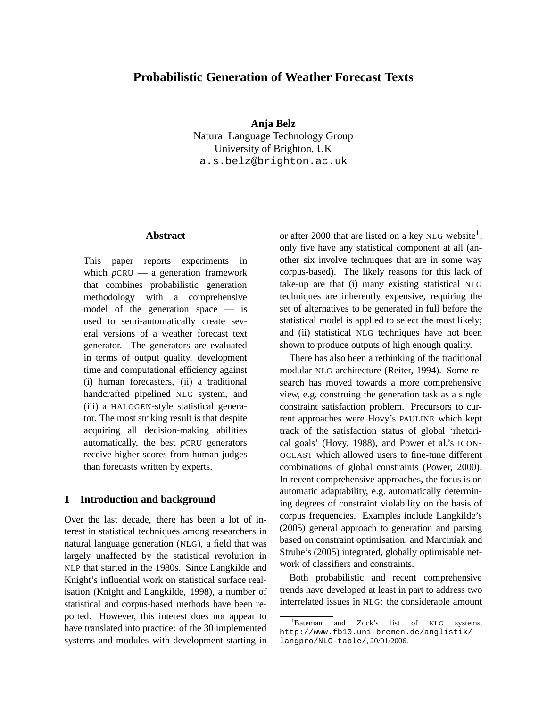# **Probabilistic Generation of Weather Forecast Texts**

**Anja Belz** Natural Language Technology Group University of Brighton, UK a.s.belz@brighton.ac.uk

## **Abstract**

This paper reports experiments in which  $p$ CRU — a generation framework that combines probabilistic generation methodology with a comprehensive model of the generation space — is used to semi-automatically create several versions of a weather forecast text generator. The generators are evaluated in terms of output quality, development time and computational efficiency against (i) human forecasters, (ii) a traditional handcrafted pipelined NLG system, and (iii) a HALOGEN-style statistical generator. The most striking result is that despite acquiring all decision-making abilities automatically, the best *p*CRU generators receive higher scores from human judges than forecasts written by experts.

## **1 Introduction and background**

Over the last decade, there has been a lot of interest in statistical techniques among researchers in natural language generation (NLG), a field that was largely unaffected by the statistical revolution in NLP that started in the 1980s. Since Langkilde and Knight's influential work on statistical surface realisation (Knight and Langkilde, 1998), a number of statistical and corpus-based methods have been reported. However, this interest does not appear to have translated into practice: of the 30 implemented systems and modules with development starting in

or after 2000 that are listed on a key NLG website<sup>1</sup>, only five have any statistical component at all (another six involve techniques that are in some way corpus-based). The likely reasons for this lack of take-up are that (i) many existing statistical NLG techniques are inherently expensive, requiring the set of alternatives to be generated in full before the statistical model is applied to select the most likely; and (ii) statistical NLG techniques have not been shown to produce outputs of high enough quality.

There has also been a rethinking of the traditional modular NLG architecture (Reiter, 1994). Some research has moved towards a more comprehensive view, e.g. construing the generation task as a single constraint satisfaction problem. Precursors to current approaches were Hovy's PAULINE which kept track of the satisfaction status of global 'rhetorical goals' (Hovy, 1988), and Power et al.'s ICON-OCLAST which allowed users to fine-tune different combinations of global constraints (Power, 2000). In recent comprehensive approaches, the focus is on automatic adaptability, e.g. automatically determining degrees of constraint violability on the basis of corpus frequencies. Examples include Langkilde's (2005) general approach to generation and parsing based on constraint optimisation, and Marciniak and Strube's (2005) integrated, globally optimisable network of classifiers and constraints.

Both probabilistic and recent comprehensive trends have developed at least in part to address two interrelated issues in NLG: the considerable amount

<sup>&</sup>lt;sup>1</sup>Bateman and Zock's list of NLG systems, http://www.fb10.uni-bremen.de/anglistik/ langpro/NLG-table/, 20/01/2006.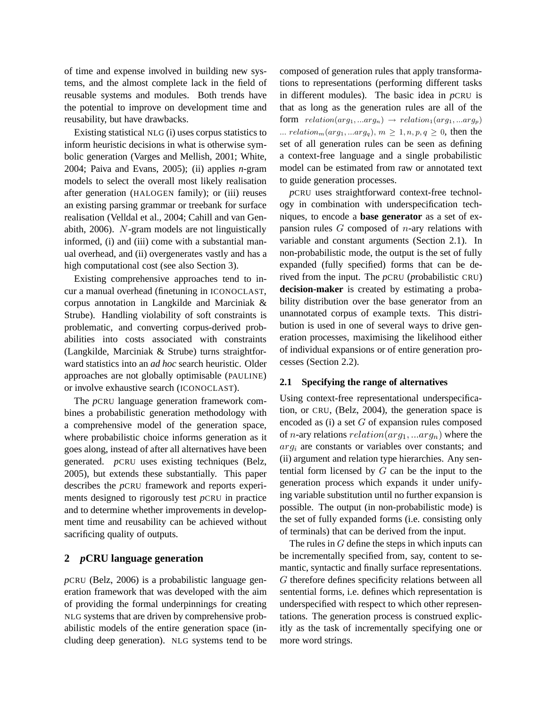of time and expense involved in building new systems, and the almost complete lack in the field of reusable systems and modules. Both trends have the potential to improve on development time and reusability, but have drawbacks.

Existing statistical NLG (i) uses corpus statistics to inform heuristic decisions in what is otherwise symbolic generation (Varges and Mellish, 2001; White, 2004; Paiva and Evans, 2005); (ii) applies *n*-gram models to select the overall most likely realisation after generation (HALOGEN family); or (iii) reuses an existing parsing grammar or treebank for surface realisation (Velldal et al., 2004; Cahill and van Genabith, 2006). N-gram models are not linguistically informed, (i) and (iii) come with a substantial manual overhead, and (ii) overgenerates vastly and has a high computational cost (see also Section 3).

Existing comprehensive approaches tend to incur a manual overhead (finetuning in ICONOCLAST, corpus annotation in Langkilde and Marciniak & Strube). Handling violability of soft constraints is problematic, and converting corpus-derived probabilities into costs associated with constraints (Langkilde, Marciniak & Strube) turns straightforward statistics into an *ad hoc* search heuristic. Older approaches are not globally optimisable (PAULINE) or involve exhaustive search (ICONOCLAST).

The *p*CRU language generation framework combines a probabilistic generation methodology with a comprehensive model of the generation space, where probabilistic choice informs generation as it goes along, instead of after all alternatives have been generated. *p*CRU uses existing techniques (Belz, 2005), but extends these substantially. This paper describes the *p*CRU framework and reports experiments designed to rigorously test *p*CRU in practice and to determine whether improvements in development time and reusability can be achieved without sacrificing quality of outputs.

# **2** *p***CRU language generation**

*p*CRU (Belz, 2006) is a probabilistic language generation framework that was developed with the aim of providing the formal underpinnings for creating NLG systems that are driven by comprehensive probabilistic models of the entire generation space (including deep generation). NLG systems tend to be composed of generation rules that apply transformations to representations (performing different tasks in different modules). The basic idea in *p*CRU is that as long as the generation rules are all of the form  $relation(arg_1, ...arg_n) \rightarrow relation(arg_1, ...arg_p)$ ... relation<sub>m</sub> $(arg_1, ...arg_q), m \ge 1, n, p, q \ge 0$ , then the set of all generation rules can be seen as defining a context-free language and a single probabilistic model can be estimated from raw or annotated text to guide generation processes.

*p*CRU uses straightforward context-free technology in combination with underspecification techniques, to encode a **base generator** as a set of expansion rules  $G$  composed of  $n$ -ary relations with variable and constant arguments (Section 2.1). In non-probabilistic mode, the output is the set of fully expanded (fully specified) forms that can be derived from the input. The *p*CRU (*p*robabilistic CRU) **decision-maker** is created by estimating a probability distribution over the base generator from an unannotated corpus of example texts. This distribution is used in one of several ways to drive generation processes, maximising the likelihood either of individual expansions or of entire generation processes (Section 2.2).

## **2.1 Specifying the range of alternatives**

Using context-free representational underspecification, or CRU, (Belz, 2004), the generation space is encoded as  $(i)$  a set  $G$  of expansion rules composed of *n*-ary relations  $relation(arg_1, ... arg_n)$  where the  $arg_i$  are constants or variables over constants; and (ii) argument and relation type hierarchies. Any sentential form licensed by  $G$  can be the input to the generation process which expands it under unifying variable substitution until no further expansion is possible. The output (in non-probabilistic mode) is the set of fully expanded forms (i.e. consisting only of terminals) that can be derived from the input.

The rules in  $G$  define the steps in which inputs can be incrementally specified from, say, content to semantic, syntactic and finally surface representations. G therefore defines specificity relations between all sentential forms, i.e. defines which representation is underspecified with respect to which other representations. The generation process is construed explicitly as the task of incrementally specifying one or more word strings.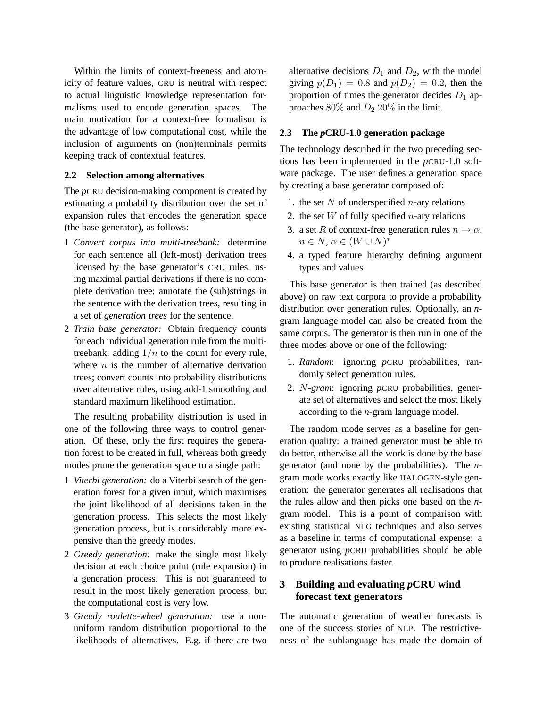Within the limits of context-freeness and atomicity of feature values, CRU is neutral with respect to actual linguistic knowledge representation formalisms used to encode generation spaces. The main motivation for a context-free formalism is the advantage of low computational cost, while the inclusion of arguments on (non)terminals permits keeping track of contextual features.

#### **2.2 Selection among alternatives**

The *p*CRU decision-making component is created by estimating a probability distribution over the set of expansion rules that encodes the generation space (the base generator), as follows:

- 1 *Convert corpus into multi-treebank:* determine for each sentence all (left-most) derivation trees licensed by the base generator's CRU rules, using maximal partial derivations if there is no complete derivation tree; annotate the (sub)strings in the sentence with the derivation trees, resulting in a set of *generation trees* for the sentence.
- 2 *Train base generator:* Obtain frequency counts for each individual generation rule from the multitreebank, adding  $1/n$  to the count for every rule, where  $n$  is the number of alternative derivation trees; convert counts into probability distributions over alternative rules, using add-1 smoothing and standard maximum likelihood estimation.

The resulting probability distribution is used in one of the following three ways to control generation. Of these, only the first requires the generation forest to be created in full, whereas both greedy modes prune the generation space to a single path:

- 1 *Viterbi generation:* do a Viterbi search of the generation forest for a given input, which maximises the joint likelihood of all decisions taken in the generation process. This selects the most likely generation process, but is considerably more expensive than the greedy modes.
- 2 *Greedy generation:* make the single most likely decision at each choice point (rule expansion) in a generation process. This is not guaranteed to result in the most likely generation process, but the computational cost is very low.
- 3 *Greedy roulette-wheel generation:* use a nonuniform random distribution proportional to the likelihoods of alternatives. E.g. if there are two

alternative decisions  $D_1$  and  $D_2$ , with the model giving  $p(D_1) = 0.8$  and  $p(D_2) = 0.2$ , then the proportion of times the generator decides  $D_1$  approaches  $80\%$  and  $D_2$  20% in the limit.

# **2.3 The** *p***CRU-1.0 generation package**

The technology described in the two preceding sections has been implemented in the *p*CRU-1.0 software package. The user defines a generation space by creating a base generator composed of:

- 1. the set  $N$  of underspecified  $n$ -ary relations
- 2. the set  $W$  of fully specified *n*-ary relations
- 3. a set R of context-free generation rules  $n \to \alpha$ ,  $n \in N, \alpha \in (W \cup N)^*$
- 4. a typed feature hierarchy defining argument types and values

This base generator is then trained (as described above) on raw text corpora to provide a probability distribution over generation rules. Optionally, an *n*gram language model can also be created from the same corpus. The generator is then run in one of the three modes above or one of the following:

- 1. *Random*: ignoring *p*CRU probabilities, randomly select generation rules.
- 2. N*-gram*: ignoring *p*CRU probabilities, generate set of alternatives and select the most likely according to the *n*-gram language model.

The random mode serves as a baseline for generation quality: a trained generator must be able to do better, otherwise all the work is done by the base generator (and none by the probabilities). The *n*gram mode works exactly like HALOGEN-style generation: the generator generates all realisations that the rules allow and then picks one based on the *n*gram model. This is a point of comparison with existing statistical NLG techniques and also serves as a baseline in terms of computational expense: a generator using *p*CRU probabilities should be able to produce realisations faster.

# **3 Building and evaluating** *p***CRU wind forecast text generators**

The automatic generation of weather forecasts is one of the success stories of NLP. The restrictiveness of the sublanguage has made the domain of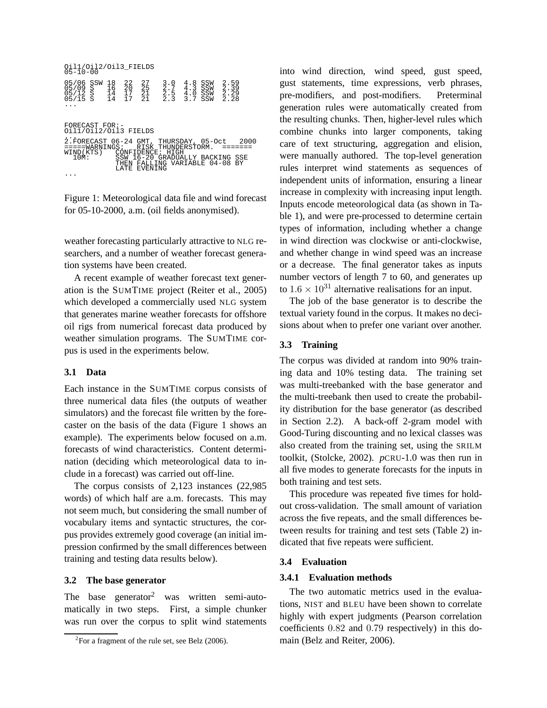```
Oil1/Oil2/Oil3_FIELDS
05-10-00
05/06 SSW 18 22 27 3.0 4.8 SSW 2.59<br>05/09 S 16 20 25 2.7 4.3 SSW 2.39<br>05/12 S 14 17 21 2.5 4.0 SSW 2.29<br>05/15 S 14 17 21 2.3 3.7 SSW 2.28<br>...
FORECAST FOR:-
Oil1/Oil2/Oil3 FIELDS
\begin{array}{lllllllllll} \texttt{2. FORECAST} & 06-24 \text{ GMT}, & \texttt{THURSDAY}, & 05-Oct & 2000\\ \texttt{====WARNING:} & \texttt{RISK THUNDERSTORM}. & \texttt{======} \\ \texttt{WIND(KTS)} & \texttt{CONFID (SFRI, SFRI, SFRI}) & \texttt{SSW 16-20 GRADUALY BACKING SSE} \\ & \texttt{10M:} & \texttt{SSE} & \texttt{TEEN FALLING VARIABLE} & 04-08 \text{ BY} \\ & \texttt{LATE EVENING} & & \texttt{LATE} & \texttt{SNENNING} \end
```
Figure 1: Meteorological data file and wind forecast for 05-10-2000, a.m. (oil fields anonymised).

weather forecasting particularly attractive to NLG researchers, and a number of weather forecast generation systems have been created.

A recent example of weather forecast text generation is the SUMTIME project (Reiter et al., 2005) which developed a commercially used NLG system that generates marine weather forecasts for offshore oil rigs from numerical forecast data produced by weather simulation programs. The SUMTIME corpus is used in the experiments below.

#### **3.1 Data**

Each instance in the SUMTIME corpus consists of three numerical data files (the outputs of weather simulators) and the forecast file written by the forecaster on the basis of the data (Figure 1 shows an example). The experiments below focused on a.m. forecasts of wind characteristics. Content determination (deciding which meteorological data to include in a forecast) was carried out off-line.

The corpus consists of 2,123 instances (22,985 words) of which half are a.m. forecasts. This may not seem much, but considering the small number of vocabulary items and syntactic structures, the corpus provides extremely good coverage (an initial impression confirmed by the small differences between training and testing data results below).

## **3.2 The base generator**

The base generator<sup>2</sup> was written semi-automatically in two steps. First, a simple chunker was run over the corpus to split wind statements into wind direction, wind speed, gust speed, gust statements, time expressions, verb phrases, pre-modifiers, and post-modifiers. Preterminal generation rules were automatically created from the resulting chunks. Then, higher-level rules which combine chunks into larger components, taking care of text structuring, aggregation and elision, were manually authored. The top-level generation rules interpret wind statements as sequences of independent units of information, ensuring a linear increase in complexity with increasing input length. Inputs encode meteorological data (as shown in Table 1), and were pre-processed to determine certain types of information, including whether a change in wind direction was clockwise or anti-clockwise, and whether change in wind speed was an increase or a decrease. The final generator takes as inputs number vectors of length 7 to 60, and generates up to  $1.6 \times 10^{31}$  alternative realisations for an input.

The job of the base generator is to describe the textual variety found in the corpus. It makes no decisions about when to prefer one variant over another.

## **3.3 Training**

The corpus was divided at random into 90% training data and 10% testing data. The training set was multi-treebanked with the base generator and the multi-treebank then used to create the probability distribution for the base generator (as described in Section 2.2). A back-off 2-gram model with Good-Turing discounting and no lexical classes was also created from the training set, using the SRILM toolkit, (Stolcke, 2002). *p*CRU-1.0 was then run in all five modes to generate forecasts for the inputs in both training and test sets.

This procedure was repeated five times for holdout cross-validation. The small amount of variation across the five repeats, and the small differences between results for training and test sets (Table 2) indicated that five repeats were sufficient.

#### **3.4 Evaluation**

### **3.4.1 Evaluation methods**

The two automatic metrics used in the evaluations, NIST and BLEU have been shown to correlate highly with expert judgments (Pearson correlation coefficients 0.82 and 0.79 respectively) in this domain (Belz and Reiter, 2006).

 ${}^{2}$ For a fragment of the rule set, see Belz (2006).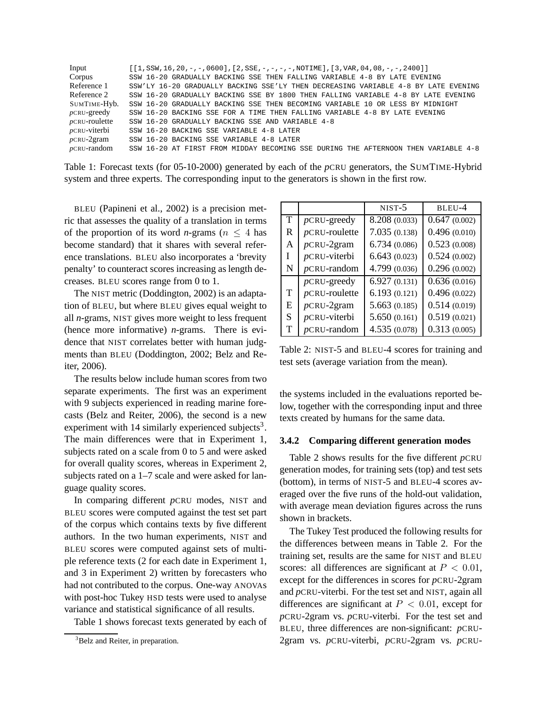| Input                | $[1, SSW, 16, 20, -, -, 0600], [2, SSE, -, -, -, -, NOTIME], [3, VAR, 04, 08, -, -, 2400]$ |
|----------------------|--------------------------------------------------------------------------------------------|
| Corpus               | SSW 16-20 GRADUALLY BACKING SSE THEN FALLING VARIABLE 4-8 BY LATE EVENING                  |
| Reference 1          | SSW'LY 16-20 GRADUALLY BACKING SSE'LY THEN DECREASING VARIABLE 4-8 BY LATE EVENING         |
| Reference 2          | SSW 16-20 GRADUALLY BACKING SSE BY 1800 THEN FALLING VARIABLE 4-8 BY LATE EVENING          |
| SUMTIME-Hyb.         | SSW 16-20 GRADUALLY BACKING SSE THEN BECOMING VARIABLE 10 OR LESS BY MIDNIGHT              |
| $p$ CRU-greedy       | SSW 16-20 BACKING SSE FOR A TIME THEN FALLING VARIABLE 4-8 BY LATE EVENING                 |
| $p$ CRU-roulette     | SSW 16-20 GRADUALLY BACKING SSE AND VARIABLE 4-8                                           |
| <i>p</i> CRU-viterbi | SSW 16-20 BACKING SSE VARIABLE 4-8 LATER                                                   |
| $p$ CRU- $2$ gram    | SSW 16-20 BACKING SSE VARIABLE 4-8 LATER                                                   |
| $p$ CRU-random       | SSW 16-20 AT FIRST FROM MIDDAY BECOMING SSE DURING THE AFTERNOON THEN VARIABLE 4-8         |

| Table 1: Forecast texts (for 05-10-2000) generated by each of the $p$ CRU generators, the SUMTIME-Hybrid |  |
|----------------------------------------------------------------------------------------------------------|--|
| system and three experts. The corresponding input to the generators is shown in the first row.           |  |

BLEU (Papineni et al., 2002) is a precision metric that assesses the quality of a translation in terms of the proportion of its word *n*-grams ( $n \leq 4$  has become standard) that it shares with several reference translations. BLEU also incorporates a 'brevity penalty' to counteract scores increasing as length decreases. BLEU scores range from 0 to 1.

The NIST metric (Doddington, 2002) is an adaptation of BLEU, but where BLEU gives equal weight to all *n*-grams, NIST gives more weight to less frequent (hence more informative) *n*-grams. There is evidence that NIST correlates better with human judgments than BLEU (Doddington, 2002; Belz and Reiter, 2006).

The results below include human scores from two separate experiments. The first was an experiment with 9 subjects experienced in reading marine forecasts (Belz and Reiter, 2006), the second is a new experiment with 14 similarly experienced subjects<sup>3</sup>. The main differences were that in Experiment 1, subjects rated on a scale from 0 to 5 and were asked for overall quality scores, whereas in Experiment 2, subjects rated on a 1–7 scale and were asked for language quality scores.

In comparing different *p*CRU modes, NIST and BLEU scores were computed against the test set part of the corpus which contains texts by five different authors. In the two human experiments, NIST and BLEU scores were computed against sets of multiple reference texts (2 for each date in Experiment 1, and 3 in Experiment 2) written by forecasters who had not contributed to the corpus. One-way ANOVAs with post-hoc Tukey HSD tests were used to analyse variance and statistical significance of all results.

Table 1 shows forecast texts generated by each of

|   |                  | $NIST-5$      | BLEU-4       |
|---|------------------|---------------|--------------|
| T | $p$ CRU-greedy   | 8.208 (0.033) | 0.647(0.002) |
| R | $p$ CRU-roulette | 7.035(0.138)  | 0.496(0.010) |
| A | $p$ CRU-2gram    | 6.734(0.086)  | 0.523(0.008) |
| Ι | $p$ CRU-viterbi  | 6.643(0.023)  | 0.524(0.002) |
| N | $p$ CRU-random   | 4.799 (0.036) | 0.296(0.002) |
|   | $p$ CRU-greedy   | 6.927(0.131)  | 0.636(0.016) |
| T | $p$ CRU-roulette | 6.193(0.121)  | 0.496(0.022) |
| E | $p$ CRU-2gram    | 5.663(0.185)  | 0.514(0.019) |
| S | $p$ CRU-viterbi  | 5.650(0.161)  | 0.519(0.021) |
| Т | $p$ CRU-random   | 4.535(0.078)  | 0.313(0.005) |

Table 2: NIST-5 and BLEU-4 scores for training and test sets (average variation from the mean).

the systems included in the evaluations reported below, together with the corresponding input and three texts created by humans for the same data.

#### **3.4.2 Comparing different generation modes**

Table 2 shows results for the five different *p*CRU generation modes, for training sets (top) and test sets (bottom), in terms of NIST-5 and BLEU-4 scores averaged over the five runs of the hold-out validation, with average mean deviation figures across the runs shown in brackets.

The Tukey Test produced the following results for the differences between means in Table 2. For the training set, results are the same for NIST and BLEU scores: all differences are significant at  $P < 0.01$ , except for the differences in scores for *p*CRU-2gram and *p*CRU-viterbi. For the test set and NIST, again all differences are significant at  $P < 0.01$ , except for *p*CRU-2gram vs. *p*CRU-viterbi. For the test set and BLEU, three differences are non-significant: *p*CRU-2gram vs. *p*CRU-viterbi, *p*CRU-2gram vs. *p*CRU-

<sup>&</sup>lt;sup>3</sup>Belz and Reiter, in preparation.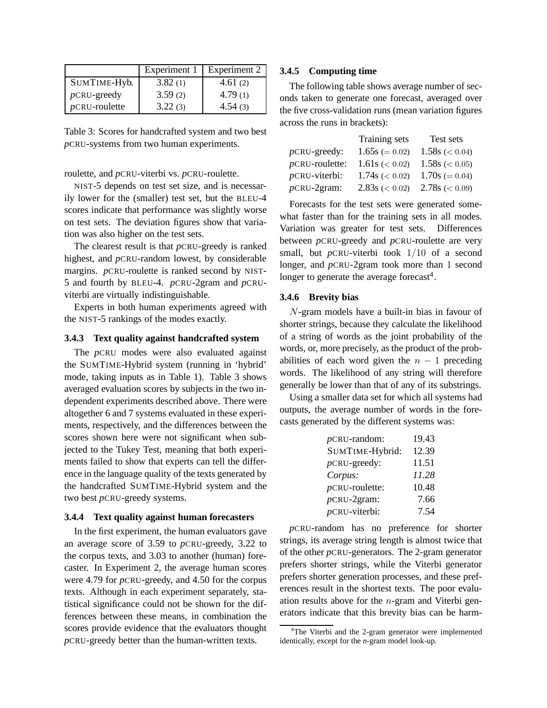|                  | Experiment 1 | Experiment 2 |
|------------------|--------------|--------------|
| SUMTIME-Hyb.     | 3.82(1)      | 4.61 $(2)$   |
| $p$ CRU-greedy   | 3.59(2)      | 4.79(1)      |
| $p$ CRU-roulette | 3.22(3)      | 4.54(3)      |

Table 3: Scores for handcrafted system and two best *p*CRU-systems from two human experiments.

roulette, and *p*CRU-viterbi vs. *p*CRU-roulette.

NIST-5 depends on test set size, and is necessarily lower for the (smaller) test set, but the BLEU-4 scores indicate that performance was slightly worse on test sets. The deviation figures show that variation was also higher on the test sets.

The clearest result is that *p*CRU-greedy is ranked highest, and *p*CRU-random lowest, by considerable margins. *p*CRU-roulette is ranked second by NIST-5 and fourth by BLEU-4. *p*CRU-2gram and *p*CRUviterbi are virtually indistinguishable.

Experts in both human experiments agreed with the NIST-5 rankings of the modes exactly.

#### **3.4.3 Text quality against handcrafted system**

The *p*CRU modes were also evaluated against the SUMTIME-Hybrid system (running in 'hybrid' mode, taking inputs as in Table 1). Table 3 shows averaged evaluation scores by subjects in the two independent experiments described above. There were altogether 6 and 7 systems evaluated in these experiments, respectively, and the differences between the scores shown here were not significant when subjected to the Tukey Test, meaning that both experiments failed to show that experts can tell the difference in the language quality of the texts generated by the handcrafted SUMTIME-Hybrid system and the two best *p*CRU-greedy systems.

#### **3.4.4 Text quality against human forecasters**

In the first experiment, the human evaluators gave an average score of 3.59 to *p*CRU-greedy, 3.22 to the corpus texts, and 3.03 to another (human) forecaster. In Experiment 2, the average human scores were 4.79 for *p*CRU-greedy, and 4.50 for the corpus texts. Although in each experiment separately, statistical significance could not be shown for the differences between these means, in combination the scores provide evidence that the evaluators thought *p*CRU-greedy better than the human-written texts.

### **3.4.5 Computing time**

The following table shows average number of seconds taken to generate one forecast, averaged over the five cross-validation runs (mean variation figures across the runs in brackets):

|                   | Training sets     | Test sets          |
|-------------------|-------------------|--------------------|
| $p$ CRU-greedy:   | $1.65s (= 0.02)$  | $1.58s \leq 0.04$  |
| $p$ CRU-roulette: | 1.61s (< 0.02)    | 1.58s ( $< 0.05$ ) |
| $p$ CRU-viterbi:  | $1.74s \leq 0.02$ | $1.70s (= 0.04)$   |
| $p$ CRU-2gram:    | $2.83s \leq 0.02$ | $2.78s \leq 0.09$  |

Forecasts for the test sets were generated somewhat faster than for the training sets in all modes. Variation was greater for test sets. Differences between *p*CRU-greedy and *p*CRU-roulette are very small, but *p*CRU-viterbi took 1/10 of a second longer, and *p*CRU-2gram took more than 1 second longer to generate the average forecast<sup>4</sup>.

#### **3.4.6 Brevity bias**

N-gram models have a built-in bias in favour of shorter strings, because they calculate the likelihood of a string of words as the joint probability of the words, or, more precisely, as the product of the probabilities of each word given the  $n - 1$  preceding words. The likelihood of any string will therefore generally be lower than that of any of its substrings.

Using a smaller data set for which all systems had outputs, the average number of words in the forecasts generated by the different systems was:

| $p$ CRU-random:   | 19.43 |
|-------------------|-------|
| SUMTIME-Hybrid:   | 12.39 |
| $p$ CRU-greedy:   | 11.51 |
| Corpus:           | 11.28 |
| $p$ CRU-roulette: | 10.48 |
| $p$ CRU-2gram:    | 7.66  |
| $p$ CRU-viterbi:  | 7.54  |

*p*CRU-random has no preference for shorter strings, its average string length is almost twice that of the other *p*CRU-generators. The 2-gram generator prefers shorter strings, while the Viterbi generator prefers shorter generation processes, and these preferences result in the shortest texts. The poor evaluation results above for the  $n$ -gram and Viterbi generators indicate that this brevity bias can be harm-

<sup>&</sup>lt;sup>4</sup>The Viterbi and the 2-gram generator were implemented identically, except for the *n*-gram model look-up.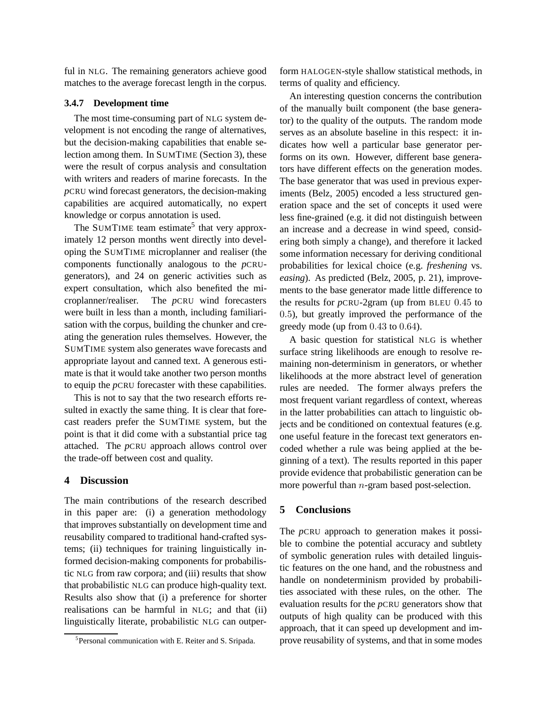ful in NLG. The remaining generators achieve good matches to the average forecast length in the corpus.

#### **3.4.7 Development time**

The most time-consuming part of NLG system development is not encoding the range of alternatives, but the decision-making capabilities that enable selection among them. In SUMTIME (Section 3), these were the result of corpus analysis and consultation with writers and readers of marine forecasts. In the *p*CRU wind forecast generators, the decision-making capabilities are acquired automatically, no expert knowledge or corpus annotation is used.

The SUMTIME team estimate<sup>5</sup> that very approximately 12 person months went directly into developing the SUMTIME microplanner and realiser (the components functionally analogous to the *p*CRUgenerators), and 24 on generic activities such as expert consultation, which also benefited the microplanner/realiser. The *p*CRU wind forecasters were built in less than a month, including familiarisation with the corpus, building the chunker and creating the generation rules themselves. However, the SUMTIME system also generates wave forecasts and appropriate layout and canned text. A generous estimate is that it would take another two person months to equip the *p*CRU forecaster with these capabilities.

This is not to say that the two research efforts resulted in exactly the same thing. It is clear that forecast readers prefer the SUMTIME system, but the point is that it did come with a substantial price tag attached. The *p*CRU approach allows control over the trade-off between cost and quality.

## **4 Discussion**

The main contributions of the research described in this paper are: (i) a generation methodology that improves substantially on development time and reusability compared to traditional hand-crafted systems; (ii) techniques for training linguistically informed decision-making components for probabilistic NLG from raw corpora; and (iii) results that show that probabilistic NLG can produce high-quality text. Results also show that (i) a preference for shorter realisations can be harmful in NLG; and that (ii) linguistically literate, probabilistic NLG can outperform HALOGEN-style shallow statistical methods, in terms of quality and efficiency.

An interesting question concerns the contribution of the manually built component (the base generator) to the quality of the outputs. The random mode serves as an absolute baseline in this respect: it indicates how well a particular base generator performs on its own. However, different base generators have different effects on the generation modes. The base generator that was used in previous experiments (Belz, 2005) encoded a less structured generation space and the set of concepts it used were less fine-grained (e.g. it did not distinguish between an increase and a decrease in wind speed, considering both simply a change), and therefore it lacked some information necessary for deriving conditional probabilities for lexical choice (e.g. *freshening* vs. *easing*). As predicted (Belz, 2005, p. 21), improvements to the base generator made little difference to the results for *p*CRU-2gram (up from BLEU 0.45 to 0.5), but greatly improved the performance of the greedy mode (up from 0.43 to 0.64).

A basic question for statistical NLG is whether surface string likelihoods are enough to resolve remaining non-determinism in generators, or whether likelihoods at the more abstract level of generation rules are needed. The former always prefers the most frequent variant regardless of context, whereas in the latter probabilities can attach to linguistic objects and be conditioned on contextual features (e.g. one useful feature in the forecast text generators encoded whether a rule was being applied at the beginning of a text). The results reported in this paper provide evidence that probabilistic generation can be more powerful than *n*-gram based post-selection.

#### **5 Conclusions**

The *p*CRU approach to generation makes it possible to combine the potential accuracy and subtlety of symbolic generation rules with detailed linguistic features on the one hand, and the robustness and handle on nondeterminism provided by probabilities associated with these rules, on the other. The evaluation results for the *p*CRU generators show that outputs of high quality can be produced with this approach, that it can speed up development and improve reusability of systems, and that in some modes

<sup>&</sup>lt;sup>5</sup>Personal communication with E. Reiter and S. Sripada.